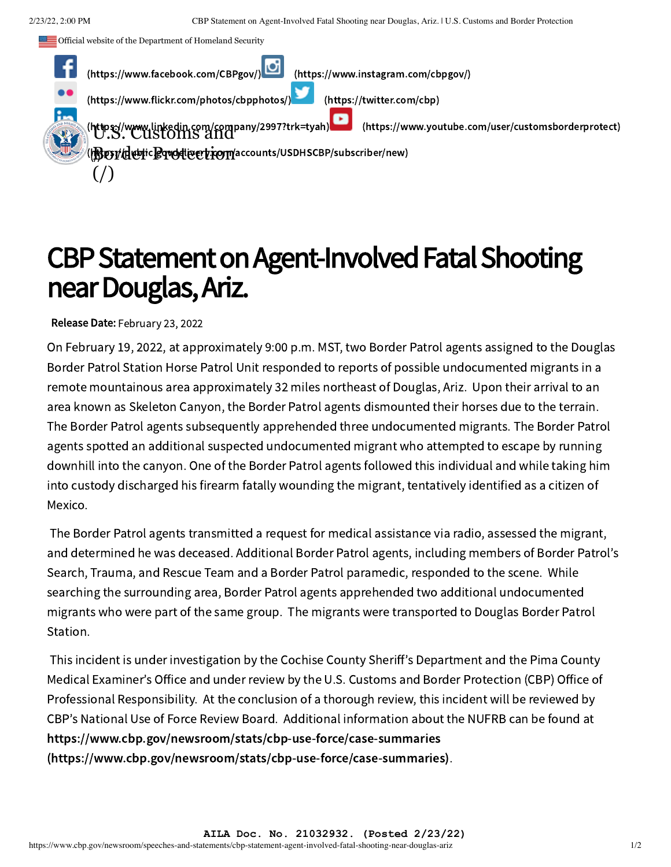Official website of the Department of Homeland Security



## CBP Statement on Agent-Involved Fatal Shooting near Douglas,Ariz.

Release Date: February 23, 2022

On February 19, 2022, at approximately 9:00 p.m. MST, two Border Patrol agents assigned to the Douglas Border Patrol Station Horse Patrol Unit responded to reports of possible undocumented migrants in a remote mountainous area approximately 32 miles northeast of Douglas, Ariz. Upon their arrival to an area known as Skeleton Canyon, the Border Patrol agents dismounted their horses due to the terrain. The Border Patrol agents subsequently apprehended three undocumented migrants. The Border Patrol agents spotted an additional suspected undocumented migrant who attempted to escape by running downhill into the canyon. One of the Border Patrol agents followed this individual and while taking him into custody discharged his firearm fatally wounding the migrant, tentatively identified as a citizen of Mexico.

The Border Patrol agents transmitted a request for medical assistance via radio, assessed the migrant, and determined he was deceased. Additional Border Patrol agents, including members of Border Patrol's Search, Trauma, and Rescue Team and a Border Patrol paramedic, responded to the scene. While searching the surrounding area, Border Patrol agents apprehended two additional undocumented migrants who were part of the same group. The migrants were transported to Douglas Border Patrol Station.

This incident is under investigation by the Cochise County Sheriff's Department and the Pima County Medical Examiner's Office and under review by the U.S. Customs and Border Protection (CBP) Office of Professional Responsibility. At the conclusion of a thorough review, this incident will be reviewed by CBP's National Use of Force Review Board. Additional information about the NUFRB can be found at https://www.cbp.gov/newsroom/stats/cbp-use-force/case-summaries [\(https://www.cbp.gov/newsroom/stats/cbp-use-force/case-summaries\)](https://www.cbp.gov/newsroom/stats/cbp-use-force/case-summaries).